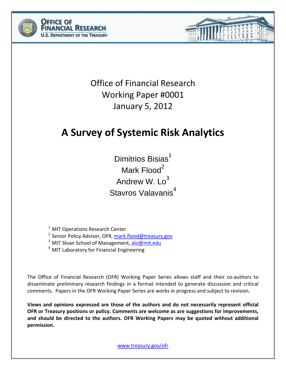



## **A Survey of Systemic Risk Analytics**

Dimitrios Bisias $1$ Mark Flood<sup>2</sup> Andrew W.  $Lo<sup>3</sup>$ Stavros Valavanis<sup>4</sup>

 $1$  MIT Operations Research Center

<sup>2</sup> Senior Policy Advisor, OFR, [mark.flood@treasury.gov](mailto:mark.flood@treasury.gov)

<sup>3</sup> MIT Sloan School of Management, [alo@mit.edu](mailto:alo@mit.edu)

<sup>4</sup> MIT Laboratory for Financial Engineering

The Office of Financial Research (OFR) Working Paper Series allows staff and their co-authors to disseminate preliminary research findings in a format intended to generate discussion and critical comments. Papers in the OFR Working Paper Series are works in progress and subject to revision.

**Views and opinions expressed are those of the authors and do not necessarily represent official OFR or Treasury positions or policy. Comments are welcome as are suggestions for improvements, and should be directed to the authors. OFR Working Papers may be quoted without additional permission.**

[www.treasury.gov/ofr](http://www.treasury.gov/ofr)